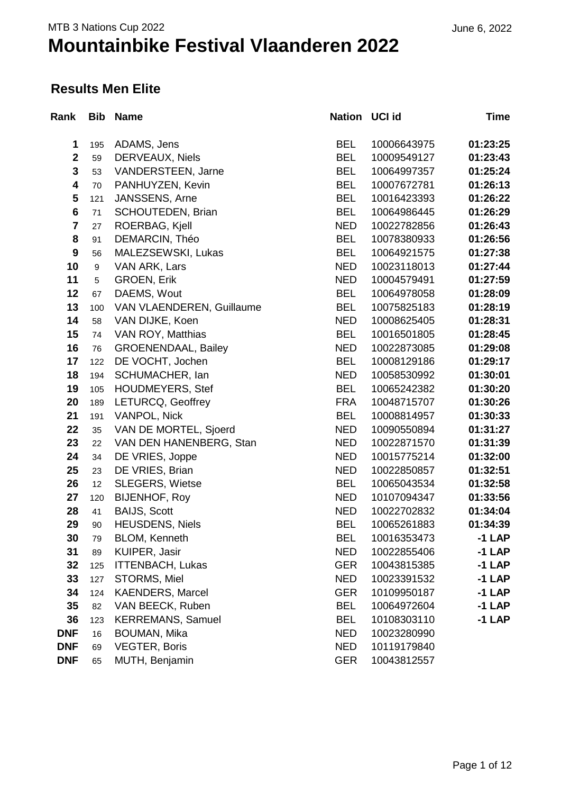#### **Results Men Elite**

| Rank                    | <b>Bib</b> | <b>Name</b>                | Nation UCI id |             | Time     |
|-------------------------|------------|----------------------------|---------------|-------------|----------|
| 1                       | 195        | ADAMS, Jens                | <b>BEL</b>    | 10006643975 | 01:23:25 |
| $\overline{\mathbf{2}}$ | 59         | <b>DERVEAUX, Niels</b>     | <b>BEL</b>    | 10009549127 | 01:23:43 |
| 3                       | 53         | VANDERSTEEN, Jarne         | <b>BEL</b>    | 10064997357 | 01:25:24 |
| $\overline{\mathbf{4}}$ | 70         | PANHUYZEN, Kevin           | <b>BEL</b>    | 10007672781 | 01:26:13 |
| $5\phantom{1}$          | 121        | JANSSENS, Arne             | <b>BEL</b>    | 10016423393 | 01:26:22 |
| $6\phantom{a}$          | 71         | <b>SCHOUTEDEN, Brian</b>   | <b>BEL</b>    | 10064986445 | 01:26:29 |
| $\overline{\mathbf{7}}$ | 27         | ROERBAG, Kjell             | <b>NED</b>    | 10022782856 | 01:26:43 |
| 8                       | 91         | DEMARCIN, Théo             | <b>BEL</b>    | 10078380933 | 01:26:56 |
| $\boldsymbol{9}$        | 56         | MALEZSEWSKI, Lukas         | <b>BEL</b>    | 10064921575 | 01:27:38 |
| 10                      | 9          | VAN ARK, Lars              | <b>NED</b>    | 10023118013 | 01:27:44 |
| 11                      | 5          | <b>GROEN, Erik</b>         | <b>NED</b>    | 10004579491 | 01:27:59 |
| 12                      | 67         | DAEMS, Wout                | <b>BEL</b>    | 10064978058 | 01:28:09 |
| 13                      | 100        | VAN VLAENDEREN, Guillaume  | <b>BEL</b>    | 10075825183 | 01:28:19 |
| 14                      | 58         | VAN DIJKE, Koen            | <b>NED</b>    | 10008625405 | 01:28:31 |
| 15                      | 74         | VAN ROY, Matthias          | <b>BEL</b>    | 10016501805 | 01:28:45 |
| 16                      | 76         | <b>GROENENDAAL, Bailey</b> | <b>NED</b>    | 10022873085 | 01:29:08 |
| 17                      | 122        | DE VOCHT, Jochen           | <b>BEL</b>    | 10008129186 | 01:29:17 |
| 18                      | 194        | SCHUMACHER, Ian            | <b>NED</b>    | 10058530992 | 01:30:01 |
| 19                      | 105        | <b>HOUDMEYERS, Stef</b>    | <b>BEL</b>    | 10065242382 | 01:30:20 |
| 20                      | 189        | LETURCQ, Geoffrey          | <b>FRA</b>    | 10048715707 | 01:30:26 |
| 21                      | 191        | <b>VANPOL, Nick</b>        | <b>BEL</b>    | 10008814957 | 01:30:33 |
| 22                      | 35         | VAN DE MORTEL, Sjoerd      | <b>NED</b>    | 10090550894 | 01:31:27 |
| 23                      | 22         | VAN DEN HANENBERG, Stan    | <b>NED</b>    | 10022871570 | 01:31:39 |
| 24                      | 34         | DE VRIES, Joppe            | <b>NED</b>    | 10015775214 | 01:32:00 |
| 25                      | 23         | DE VRIES, Brian            | <b>NED</b>    | 10022850857 | 01:32:51 |
| 26                      | 12         | <b>SLEGERS, Wietse</b>     | <b>BEL</b>    | 10065043534 | 01:32:58 |
| 27                      | 120        | <b>BIJENHOF, Roy</b>       | <b>NED</b>    | 10107094347 | 01:33:56 |
| 28                      | 41         | <b>BAIJS, Scott</b>        | <b>NED</b>    | 10022702832 | 01:34:04 |
| 29                      | 90         | <b>HEUSDENS, Niels</b>     | <b>BEL</b>    | 10065261883 | 01:34:39 |
| 30                      | 79         | BLOM, Kenneth              | <b>BEL</b>    | 10016353473 | $-1$ LAP |
| 31                      | 89         | KUIPER, Jasir              | <b>NED</b>    | 10022855406 | $-1$ LAP |
| 32                      | 125        | <b>ITTENBACH, Lukas</b>    | <b>GER</b>    | 10043815385 | $-1$ LAP |
| 33                      | 127        | STORMS, Miel               | <b>NED</b>    | 10023391532 | $-1$ LAP |
| 34                      | 124        | <b>KAENDERS, Marcel</b>    | <b>GER</b>    | 10109950187 | $-1$ LAP |
| 35                      | 82         | VAN BEECK, Ruben           | <b>BEL</b>    | 10064972604 | $-1$ LAP |
| 36                      | 123        | <b>KERREMANS, Samuel</b>   | <b>BEL</b>    | 10108303110 | $-1$ LAP |
| <b>DNF</b>              | 16         | <b>BOUMAN, Mika</b>        | <b>NED</b>    | 10023280990 |          |
| <b>DNF</b>              | 69         | <b>VEGTER, Boris</b>       | <b>NED</b>    | 10119179840 |          |
| <b>DNF</b>              | 65         | MUTH, Benjamin             | <b>GER</b>    | 10043812557 |          |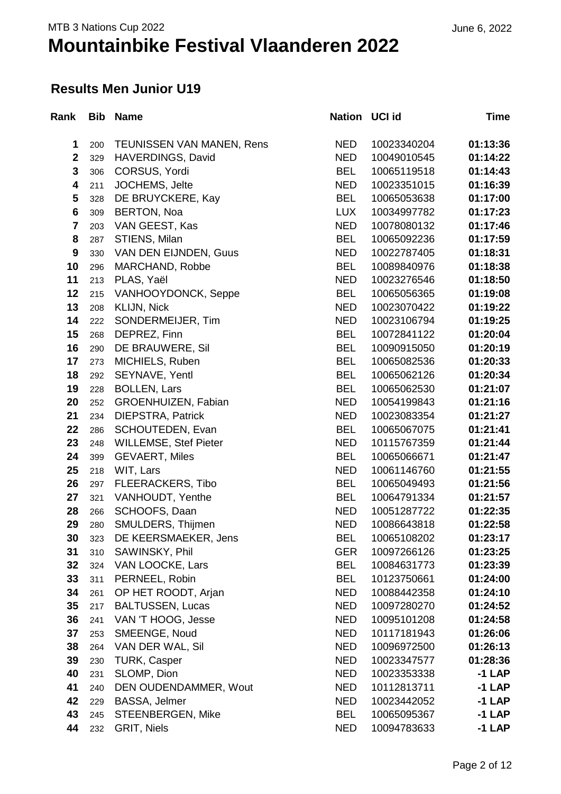#### **Results Men Junior U19**

| Rank                    | <b>Bib</b> | <b>Name</b>                  | <b>Nation</b> | <b>UCI id</b> | Time     |
|-------------------------|------------|------------------------------|---------------|---------------|----------|
| 1                       | 200        | TEUNISSEN VAN MANEN, Rens    | <b>NED</b>    | 10023340204   | 01:13:36 |
| $\mathbf 2$             | 329        | HAVERDINGS, David            | <b>NED</b>    | 10049010545   | 01:14:22 |
| 3                       | 306        | CORSUS, Yordi                | <b>BEL</b>    | 10065119518   | 01:14:43 |
| 4                       | 211        | JOCHEMS, Jelte               | <b>NED</b>    | 10023351015   | 01:16:39 |
| 5                       | 328        | DE BRUYCKERE, Kay            | <b>BEL</b>    | 10065053638   | 01:17:00 |
| $\bf 6$                 | 309        | <b>BERTON, Noa</b>           | <b>LUX</b>    | 10034997782   | 01:17:23 |
| $\overline{\mathbf{7}}$ | 203        | VAN GEEST, Kas               | <b>NED</b>    | 10078080132   | 01:17:46 |
| 8                       | 287        | STIENS, Milan                | <b>BEL</b>    | 10065092236   | 01:17:59 |
| $\boldsymbol{9}$        | 330        | VAN DEN EIJNDEN, Guus        | <b>NED</b>    | 10022787405   | 01:18:31 |
| 10                      | 296        | MARCHAND, Robbe              | <b>BEL</b>    | 10089840976   | 01:18:38 |
| 11                      | 213        | PLAS, Yaël                   | <b>NED</b>    | 10023276546   | 01:18:50 |
| 12                      | 215        | VANHOOYDONCK, Seppe          | <b>BEL</b>    | 10065056365   | 01:19:08 |
| 13                      | 208        | KLIJN, Nick                  | <b>NED</b>    | 10023070422   | 01:19:22 |
| 14                      | 222        | SONDERMEIJER, Tim            | <b>NED</b>    | 10023106794   | 01:19:25 |
| 15                      | 268        | DEPREZ, Finn                 | <b>BEL</b>    | 10072841122   | 01:20:04 |
| 16                      | 290        | DE BRAUWERE, Sil             | <b>BEL</b>    | 10090915050   | 01:20:19 |
| 17                      | 273        | MICHIELS, Ruben              | <b>BEL</b>    | 10065082536   | 01:20:33 |
| 18                      | 292        | SEYNAVE, Yentl               | <b>BEL</b>    | 10065062126   | 01:20:34 |
| 19                      | 228        | <b>BOLLEN, Lars</b>          | <b>BEL</b>    | 10065062530   | 01:21:07 |
| 20                      | 252        | GROENHUIZEN, Fabian          | <b>NED</b>    | 10054199843   | 01:21:16 |
| 21                      | 234        | <b>DIEPSTRA, Patrick</b>     | <b>NED</b>    | 10023083354   | 01:21:27 |
| 22                      | 286        | SCHOUTEDEN, Evan             | <b>BEL</b>    | 10065067075   | 01:21:41 |
| 23                      | 248        | <b>WILLEMSE, Stef Pieter</b> | <b>NED</b>    | 10115767359   | 01:21:44 |
| 24                      | 399        | <b>GEVAERT, Miles</b>        | <b>BEL</b>    | 10065066671   | 01:21:47 |
| 25                      | 218        | WIT, Lars                    | <b>NED</b>    | 10061146760   | 01:21:55 |
| 26                      | 297        | <b>FLEERACKERS, Tibo</b>     | <b>BEL</b>    | 10065049493   | 01:21:56 |
| 27                      | 321        | VANHOUDT, Yenthe             | <b>BEL</b>    | 10064791334   | 01:21:57 |
| 28                      | 266        | SCHOOFS, Daan                | <b>NED</b>    | 10051287722   | 01:22:35 |
| 29                      | 280        | SMULDERS, Thijmen            | <b>NED</b>    | 10086643818   | 01:22:58 |
| 30                      | 323        | DE KEERSMAEKER, Jens         | BEL           | 10065108202   | 01:23:17 |
| 31                      | 310        | SAWINSKY, Phil               | <b>GER</b>    | 10097266126   | 01:23:25 |
| 32                      | 324        | VAN LOOCKE, Lars             | <b>BEL</b>    | 10084631773   | 01:23:39 |
| 33                      | 311        | PERNEEL, Robin               | <b>BEL</b>    | 10123750661   | 01:24:00 |
| 34                      | 261        | OP HET ROODT, Arjan          | NED           | 10088442358   | 01:24:10 |
| 35                      | 217        | <b>BALTUSSEN, Lucas</b>      | <b>NED</b>    | 10097280270   | 01:24:52 |
| 36                      | 241        | VAN 'T HOOG, Jesse           | <b>NED</b>    | 10095101208   | 01:24:58 |
| 37                      | 253        | SMEENGE, Noud                | <b>NED</b>    | 10117181943   | 01:26:06 |
| 38                      | 264        | VAN DER WAL, Sil             | <b>NED</b>    | 10096972500   | 01:26:13 |
| 39                      | 230        | <b>TURK, Casper</b>          | <b>NED</b>    | 10023347577   | 01:28:36 |
| 40                      | 231        | SLOMP, Dion                  | <b>NED</b>    | 10023353338   | -1 LAP   |
| 41                      | 240        | DEN OUDENDAMMER, Wout        | <b>NED</b>    | 10112813711   | -1 LAP   |
| 42                      | 229        | BASSA, Jelmer                | NED           | 10023442052   | -1 LAP   |
| 43                      | 245        | <b>STEENBERGEN, Mike</b>     | <b>BEL</b>    | 10065095367   | -1 LAP   |
| 44                      | 232        | GRIT, Niels                  | NED           | 10094783633   | $-1$ LAP |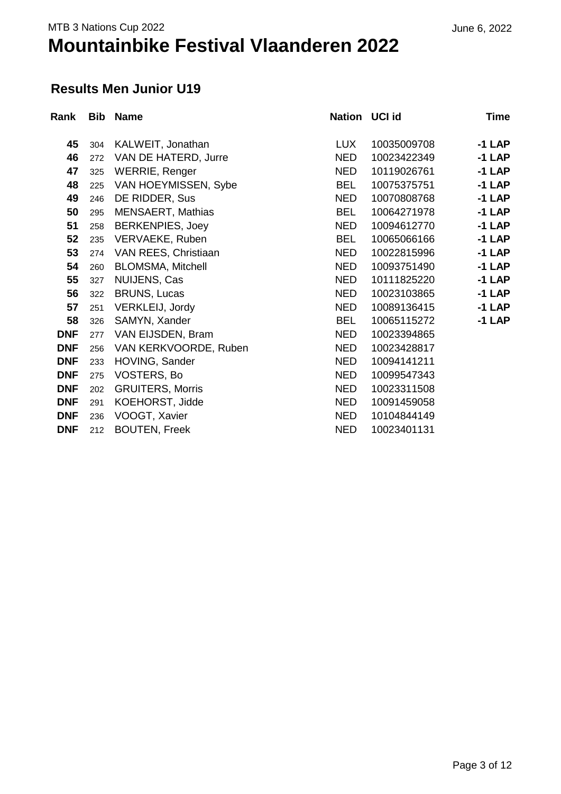#### **Results Men Junior U19**

| Rank       | <b>Bib</b> | <b>Name</b>              | Nation UCI id |             | <b>Time</b> |
|------------|------------|--------------------------|---------------|-------------|-------------|
|            |            |                          |               |             |             |
| 45         | 304        | KALWEIT, Jonathan        | <b>LUX</b>    | 10035009708 | $-1$ LAP    |
| 46         | 272        | VAN DE HATERD, Jurre     | <b>NED</b>    | 10023422349 | $-1$ LAP    |
| 47         | 325        | <b>WERRIE, Renger</b>    | <b>NED</b>    | 10119026761 | $-1$ LAP    |
| 48         | 225        | VAN HOEYMISSEN, Sybe     | <b>BEL</b>    | 10075375751 | $-1$ LAP    |
| 49         | 246        | DE RIDDER, Sus           | <b>NED</b>    | 10070808768 | $-1$ LAP    |
| 50         | 295        | <b>MENSAERT, Mathias</b> | <b>BEL</b>    | 10064271978 | $-1$ LAP    |
| 51         | 258        | <b>BERKENPIES, Joey</b>  | <b>NED</b>    | 10094612770 | $-1$ LAP    |
| 52         | 235        | VERVAEKE, Ruben          | <b>BEL</b>    | 10065066166 | $-1$ LAP    |
| 53         | 274        | VAN REES, Christiaan     | <b>NED</b>    | 10022815996 | $-1$ LAP    |
| 54         | 260        | <b>BLOMSMA, Mitchell</b> | <b>NED</b>    | 10093751490 | $-1$ LAP    |
| 55         | 327        | NUIJENS, Cas             | <b>NED</b>    | 10111825220 | $-1$ LAP    |
| 56         | 322        | <b>BRUNS, Lucas</b>      | <b>NED</b>    | 10023103865 | $-1$ LAP    |
| 57         | 251        | VERKLEIJ, Jordy          | <b>NED</b>    | 10089136415 | $-1$ LAP    |
| 58         | 326        | SAMYN, Xander            | <b>BEL</b>    | 10065115272 | $-1$ LAP    |
| <b>DNF</b> | 277        | VAN EIJSDEN, Bram        | <b>NED</b>    | 10023394865 |             |
| <b>DNF</b> | 256        | VAN KERKVOORDE, Ruben    | <b>NED</b>    | 10023428817 |             |
| <b>DNF</b> | 233        | HOVING, Sander           | <b>NED</b>    | 10094141211 |             |
| <b>DNF</b> | 275        | VOSTERS, Bo              | <b>NED</b>    | 10099547343 |             |
| <b>DNF</b> | 202        | <b>GRUITERS, Morris</b>  | <b>NED</b>    | 10023311508 |             |
| <b>DNF</b> | 291        | KOEHORST, Jidde          | <b>NED</b>    | 10091459058 |             |
| <b>DNF</b> | 236        | VOOGT, Xavier            | <b>NED</b>    | 10104844149 |             |
| <b>DNF</b> | 212        | <b>BOUTEN, Freek</b>     | <b>NED</b>    | 10023401131 |             |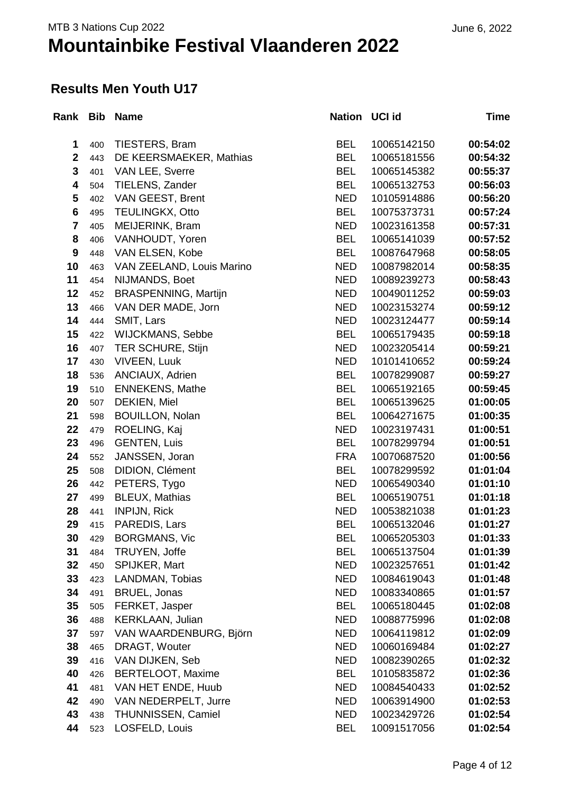#### **Results Men Youth U17**

| Rank Bib         |     | <b>Name</b>                 | Nation UCI id |             | Time     |
|------------------|-----|-----------------------------|---------------|-------------|----------|
| 1                | 400 | TIESTERS, Bram              | <b>BEL</b>    | 10065142150 | 00:54:02 |
| $\mathbf{2}$     | 443 | DE KEERSMAEKER, Mathias     | <b>BEL</b>    | 10065181556 | 00:54:32 |
| 3                | 401 | VAN LEE, Sverre             | <b>BEL</b>    | 10065145382 | 00:55:37 |
| 4                | 504 | TIELENS, Zander             | <b>BEL</b>    | 10065132753 | 00:56:03 |
| 5                | 402 | VAN GEEST, Brent            | <b>NED</b>    | 10105914886 | 00:56:20 |
| $6\phantom{1}6$  | 495 | <b>TEULINGKX, Otto</b>      | <b>BEL</b>    | 10075373731 | 00:57:24 |
| $\overline{7}$   | 405 | MEIJERINK, Bram             | <b>NED</b>    | 10023161358 | 00:57:31 |
| 8                | 406 | VANHOUDT, Yoren             | <b>BEL</b>    | 10065141039 | 00:57:52 |
| $\boldsymbol{9}$ | 448 | VAN ELSEN, Kobe             | <b>BEL</b>    | 10087647968 | 00:58:05 |
| 10               | 463 | VAN ZEELAND, Louis Marino   | <b>NED</b>    | 10087982014 | 00:58:35 |
| 11               | 454 | NIJMANDS, Boet              | <b>NED</b>    | 10089239273 | 00:58:43 |
| 12               | 452 | <b>BRASPENNING, Martijn</b> | <b>NED</b>    | 10049011252 | 00:59:03 |
| 13               | 466 | VAN DER MADE, Jorn          | <b>NED</b>    | 10023153274 | 00:59:12 |
| 14               | 444 | SMIT, Lars                  | <b>NED</b>    | 10023124477 | 00:59:14 |
| 15               | 422 | WIJCKMANS, Sebbe            | <b>BEL</b>    | 10065179435 | 00:59:18 |
| 16               | 407 | <b>TER SCHURE, Stijn</b>    | <b>NED</b>    | 10023205414 | 00:59:21 |
| 17               | 430 | <b>VIVEEN, Luuk</b>         | <b>NED</b>    | 10101410652 | 00:59:24 |
| 18               | 536 | ANCIAUX, Adrien             | <b>BEL</b>    | 10078299087 | 00:59:27 |
| 19               | 510 | <b>ENNEKENS, Mathe</b>      | <b>BEL</b>    | 10065192165 | 00:59:45 |
| 20               | 507 | DEKIEN, Miel                | <b>BEL</b>    | 10065139625 | 01:00:05 |
| 21               | 598 | <b>BOUILLON, Nolan</b>      | <b>BEL</b>    | 10064271675 | 01:00:35 |
| 22               | 479 | ROELING, Kaj                | <b>NED</b>    | 10023197431 | 01:00:51 |
| 23               | 496 | <b>GENTEN, Luis</b>         | <b>BEL</b>    | 10078299794 | 01:00:51 |
| 24               | 552 | JANSSEN, Joran              | <b>FRA</b>    | 10070687520 | 01:00:56 |
| 25               | 508 | DIDION, Clément             | <b>BEL</b>    | 10078299592 | 01:01:04 |
| 26               | 442 | PETERS, Tygo                | <b>NED</b>    | 10065490340 | 01:01:10 |
| 27               | 499 | <b>BLEUX, Mathias</b>       | <b>BEL</b>    | 10065190751 | 01:01:18 |
| 28               | 441 | <b>INPIJN, Rick</b>         | <b>NED</b>    | 10053821038 | 01:01:23 |
| 29               | 415 | PAREDIS, Lars               | <b>BEL</b>    | 10065132046 | 01:01:27 |
| 30               | 429 | <b>BORGMANS, Vic</b>        | <b>BEL</b>    | 10065205303 | 01:01:33 |
| 31               | 484 | TRUYEN, Joffe               | <b>BEL</b>    | 10065137504 | 01:01:39 |
| 32               | 450 | SPIJKER, Mart               | <b>NED</b>    | 10023257651 | 01:01:42 |
| 33               | 423 | LANDMAN, Tobias             | <b>NED</b>    | 10084619043 | 01:01:48 |
| 34               | 491 | BRUEL, Jonas                | <b>NED</b>    | 10083340865 | 01:01:57 |
| 35               | 505 | FERKET, Jasper              | <b>BEL</b>    | 10065180445 | 01:02:08 |
| 36               | 488 | <b>KERKLAAN, Julian</b>     | <b>NED</b>    | 10088775996 | 01:02:08 |
| 37               | 597 | VAN WAARDENBURG, Björn      | <b>NED</b>    | 10064119812 | 01:02:09 |
| 38               | 465 | DRAGT, Wouter               | <b>NED</b>    | 10060169484 | 01:02:27 |
| 39               | 416 | VAN DIJKEN, Seb             | <b>NED</b>    | 10082390265 | 01:02:32 |
| 40               | 426 | BERTELOOT, Maxime           | <b>BEL</b>    | 10105835872 | 01:02:36 |
| 41               | 481 | VAN HET ENDE, Huub          | <b>NED</b>    | 10084540433 | 01:02:52 |
| 42               | 490 | VAN NEDERPELT, Jurre        | <b>NED</b>    | 10063914900 | 01:02:53 |
| 43               | 438 | THUNNISSEN, Camiel          | <b>NED</b>    | 10023429726 | 01:02:54 |
| 44               | 523 | LOSFELD, Louis              | <b>BEL</b>    | 10091517056 | 01:02:54 |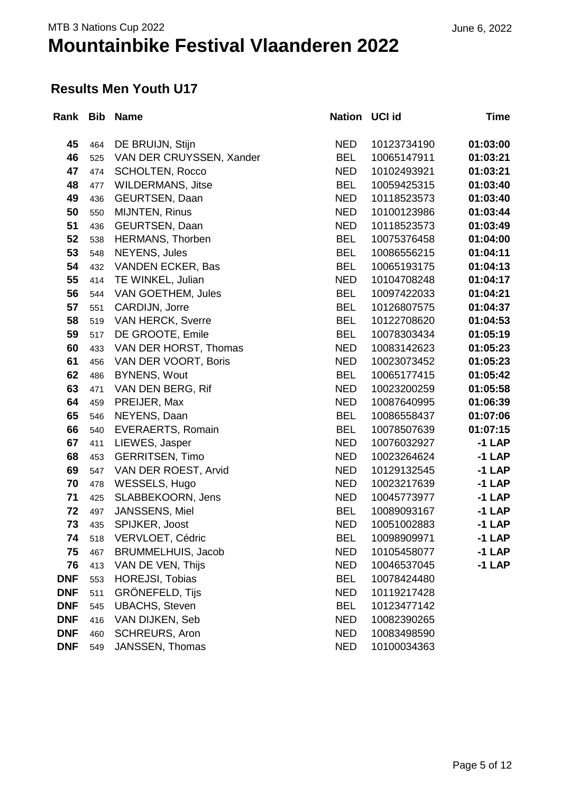#### **Results Men Youth U17**

|            |     | Rank Bib Name             | Nation UCI id |             | Time     |
|------------|-----|---------------------------|---------------|-------------|----------|
| 45         | 464 | DE BRUIJN, Stijn          | <b>NED</b>    | 10123734190 | 01:03:00 |
| 46         | 525 | VAN DER CRUYSSEN, Xander  | <b>BEL</b>    | 10065147911 | 01:03:21 |
| 47         | 474 | <b>SCHOLTEN, Rocco</b>    | <b>NED</b>    | 10102493921 | 01:03:21 |
| 48         | 477 | <b>WILDERMANS, Jitse</b>  | <b>BEL</b>    | 10059425315 | 01:03:40 |
| 49         | 436 | <b>GEURTSEN, Daan</b>     | <b>NED</b>    | 10118523573 | 01:03:40 |
| 50         | 550 | <b>MIJNTEN, Rinus</b>     | <b>NED</b>    | 10100123986 | 01:03:44 |
| 51         | 436 | <b>GEURTSEN, Daan</b>     | <b>NED</b>    | 10118523573 | 01:03:49 |
| 52         | 538 | <b>HERMANS, Thorben</b>   | <b>BEL</b>    | 10075376458 | 01:04:00 |
| 53         | 548 | <b>NEYENS, Jules</b>      | <b>BEL</b>    | 10086556215 | 01:04:11 |
| 54         | 432 | <b>VANDEN ECKER, Bas</b>  | <b>BEL</b>    | 10065193175 | 01:04:13 |
| 55         | 414 | TE WINKEL, Julian         | <b>NED</b>    | 10104708248 | 01:04:17 |
| 56         | 544 | VAN GOETHEM, Jules        | <b>BEL</b>    | 10097422033 | 01:04:21 |
| 57         | 551 | CARDIJN, Jorre            | <b>BEL</b>    | 10126807575 | 01:04:37 |
| 58         | 519 | <b>VAN HERCK, Sverre</b>  | <b>BEL</b>    | 10122708620 | 01:04:53 |
| 59         | 517 | DE GROOTE, Emile          | <b>BEL</b>    | 10078303434 | 01:05:19 |
| 60         | 433 | VAN DER HORST, Thomas     | <b>NED</b>    | 10083142623 | 01:05:23 |
| 61         | 456 | VAN DER VOORT, Boris      | <b>NED</b>    | 10023073452 | 01:05:23 |
| 62         | 486 | <b>BYNENS, Wout</b>       | <b>BEL</b>    | 10065177415 | 01:05:42 |
| 63         | 471 | VAN DEN BERG, Rif         | <b>NED</b>    | 10023200259 | 01:05:58 |
| 64         | 459 | PREIJER, Max              | <b>NED</b>    | 10087640995 | 01:06:39 |
| 65         | 546 | NEYENS, Daan              | <b>BEL</b>    | 10086558437 | 01:07:06 |
| 66         | 540 | <b>EVERAERTS, Romain</b>  | <b>BEL</b>    | 10078507639 | 01:07:15 |
| 67         | 411 | LIEWES, Jasper            | <b>NED</b>    | 10076032927 | $-1$ LAP |
| 68         | 453 | <b>GERRITSEN, Timo</b>    | <b>NED</b>    | 10023264624 | $-1$ LAP |
| 69         | 547 | VAN DER ROEST, Arvid      | <b>NED</b>    | 10129132545 | $-1$ LAP |
| 70         | 478 | WESSELS, Hugo             | <b>NED</b>    | 10023217639 | $-1$ LAP |
| 71         | 425 | SLABBEKOORN, Jens         | <b>NED</b>    | 10045773977 | $-1$ LAP |
| 72         | 497 | JANSSENS, Miel            | <b>BEL</b>    | 10089093167 | $-1$ LAP |
| 73         | 435 | SPIJKER, Joost            | <b>NED</b>    | 10051002883 | $-1$ LAP |
| 74         | 518 | VERVLOET, Cédric          | <b>BEL</b>    | 10098909971 | -1 LAP   |
| 75         | 467 | <b>BRUMMELHUIS, Jacob</b> | <b>NED</b>    | 10105458077 | $-1$ LAP |
| 76         | 413 | VAN DE VEN, Thijs         | <b>NED</b>    | 10046537045 | $-1$ LAP |
| <b>DNF</b> | 553 | <b>HOREJSI, Tobias</b>    | <b>BEL</b>    | 10078424480 |          |
| <b>DNF</b> | 511 | <b>GRÖNEFELD, Tijs</b>    | <b>NED</b>    | 10119217428 |          |
| <b>DNF</b> | 545 | <b>UBACHS, Steven</b>     | <b>BEL</b>    | 10123477142 |          |
| <b>DNF</b> | 416 | VAN DIJKEN, Seb           | <b>NED</b>    | 10082390265 |          |
| <b>DNF</b> | 460 | <b>SCHREURS, Aron</b>     | <b>NED</b>    | 10083498590 |          |
| <b>DNF</b> | 549 | JANSSEN, Thomas           | <b>NED</b>    | 10100034363 |          |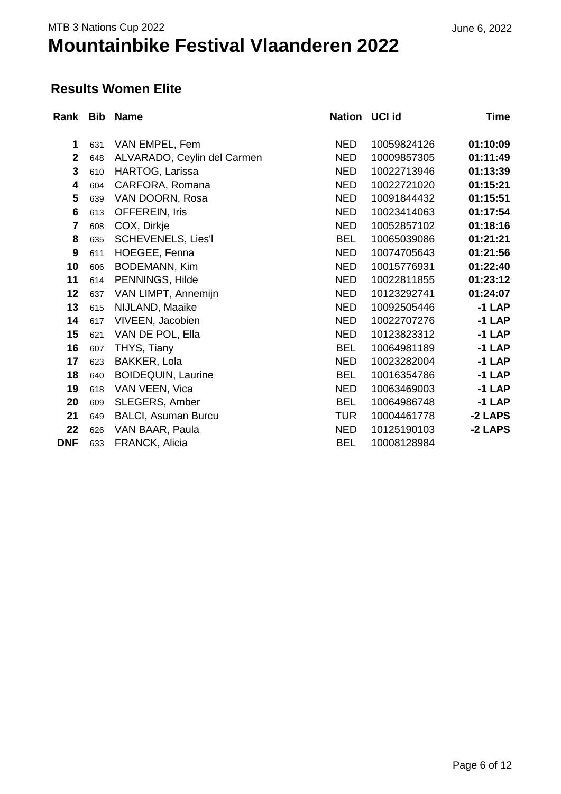#### **Results Women Elite**

| Rank Bib       |     | <b>Name</b>                 | Nation UCI id |             | <b>Time</b>   |
|----------------|-----|-----------------------------|---------------|-------------|---------------|
| 1              | 631 | VAN EMPEL, Fem              | <b>NED</b>    | 10059824126 | 01:10:09      |
| $\mathbf{2}$   | 648 | ALVARADO, Ceylin del Carmen | <b>NED</b>    | 10009857305 | 01:11:49      |
| $\mathbf{3}$   | 610 | HARTOG, Larissa             | <b>NED</b>    | 10022713946 | 01:13:39      |
| 4              | 604 | CARFORA, Romana             | <b>NED</b>    | 10022721020 | 01:15:21      |
| 5              | 639 | VAN DOORN, Rosa             | <b>NED</b>    | 10091844432 | 01:15:51      |
| 6              | 613 | <b>OFFEREIN, Iris</b>       | <b>NED</b>    | 10023414063 | 01:17:54      |
| $\overline{7}$ | 608 | COX, Dirkje                 | <b>NED</b>    | 10052857102 | 01:18:16      |
| 8              | 635 | <b>SCHEVENELS, Lies'l</b>   | <b>BEL</b>    | 10065039086 | 01:21:21      |
| 9              | 611 | HOEGEE, Fenna               | <b>NED</b>    | 10074705643 | 01:21:56      |
| 10             | 606 | <b>BODEMANN, Kim</b>        | <b>NED</b>    | 10015776931 | 01:22:40      |
| 11             | 614 | PENNINGS, Hilde             | <b>NED</b>    | 10022811855 | 01:23:12      |
| 12             | 637 | VAN LIMPT, Annemijn         | <b>NED</b>    | 10123292741 | 01:24:07      |
| 13             | 615 | NIJLAND, Maaike             | <b>NED</b>    | 10092505446 | $-1$ LAP      |
| 14             | 617 | VIVEEN, Jacobien            | <b>NED</b>    | 10022707276 | $-1$ LAP      |
| 15             | 621 | VAN DE POL, Ella            | <b>NED</b>    | 10123823312 | $-1$ LAP      |
| 16             | 607 | THYS, Tiany                 | <b>BEL</b>    | 10064981189 | $-1$ LAP      |
| 17             | 623 | BAKKER, Lola                | <b>NED</b>    | 10023282004 | $-1$ LAP      |
| 18             | 640 | <b>BOIDEQUIN, Laurine</b>   | <b>BEL</b>    | 10016354786 | <b>-1 LAP</b> |
| 19             | 618 | VAN VEEN, Vica              | <b>NED</b>    | 10063469003 | -1 LAP        |
| 20             | 609 | SLEGERS, Amber              | <b>BEL</b>    | 10064986748 | <b>-1 LAP</b> |
| 21             | 649 | <b>BALCI, Asuman Burcu</b>  | <b>TUR</b>    | 10004461778 | -2 LAPS       |
| 22             | 626 | VAN BAAR, Paula             | <b>NED</b>    | 10125190103 | -2 LAPS       |
| <b>DNF</b>     | 633 | FRANCK, Alicia              | <b>BEL</b>    | 10008128984 |               |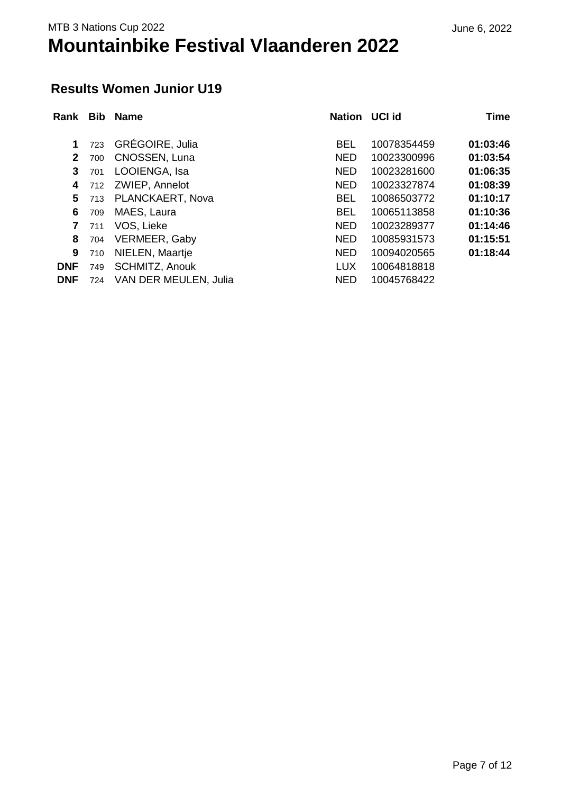#### June 6, 2022

### **Results Women Junior U19**

| Rank         | <b>Bib</b> | <b>Name</b>           | <b>Nation</b> | <b>UCI id</b> | <b>Time</b> |
|--------------|------------|-----------------------|---------------|---------------|-------------|
|              |            |                       |               |               |             |
| 1            | 723        | GRÉGOIRE, Julia       | <b>BEL</b>    | 10078354459   | 01:03:46    |
| $\mathbf{2}$ | 700        | CNOSSEN, Luna         | <b>NED</b>    | 10023300996   | 01:03:54    |
| 3            | 701        | LOOIENGA, Isa         | <b>NED</b>    | 10023281600   | 01:06:35    |
| 4            | 712        | ZWIEP, Annelot        | <b>NED</b>    | 10023327874   | 01:08:39    |
| 5            | 713        | PLANCKAERT, Nova      | <b>BEL</b>    | 10086503772   | 01:10:17    |
| 6            | 709        | MAES, Laura           | <b>BEL</b>    | 10065113858   | 01:10:36    |
| $\mathbf{7}$ | 711        | VOS, Lieke            | <b>NED</b>    | 10023289377   | 01:14:46    |
| 8            | 704        | VERMEER, Gaby         | <b>NED</b>    | 10085931573   | 01:15:51    |
| 9            | 710        | NIELEN, Maartje       | <b>NED</b>    | 10094020565   | 01:18:44    |
| <b>DNF</b>   | 749        | <b>SCHMITZ, Anouk</b> | <b>LUX</b>    | 10064818818   |             |
| <b>DNF</b>   | 724        | VAN DER MEULEN, Julia | <b>NED</b>    | 10045768422   |             |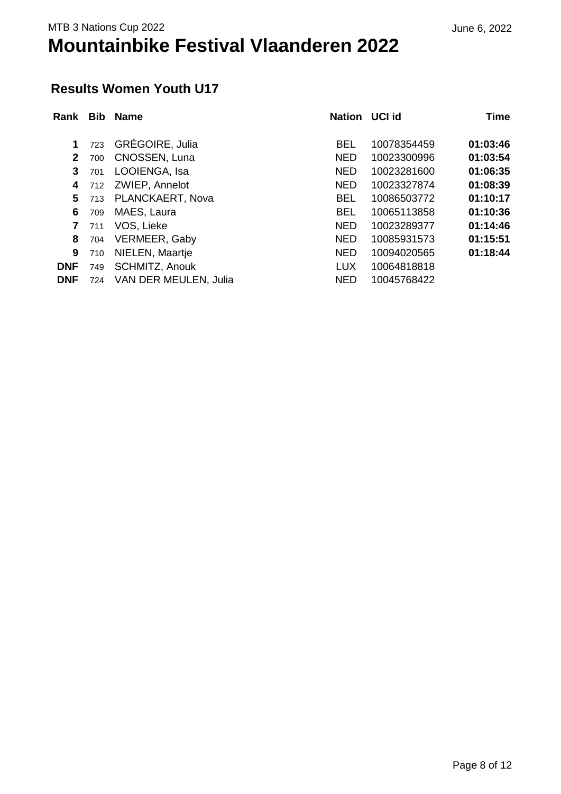#### June 6, 2022

### **Results Women Youth U17**

| Rank         | <b>Bib</b> | <b>Name</b>           | <b>Nation</b> | <b>UCI id</b> | <b>Time</b> |
|--------------|------------|-----------------------|---------------|---------------|-------------|
|              |            |                       |               |               |             |
| 1            | 723        | GRÉGOIRE, Julia       | <b>BEL</b>    | 10078354459   | 01:03:46    |
| $\mathbf{2}$ | 700        | CNOSSEN, Luna         | <b>NED</b>    | 10023300996   | 01:03:54    |
| 3            | 701        | LOOIENGA, Isa         | <b>NED</b>    | 10023281600   | 01:06:35    |
| 4            | 712        | ZWIEP, Annelot        | <b>NED</b>    | 10023327874   | 01:08:39    |
| 5            | 713        | PLANCKAERT, Nova      | <b>BEL</b>    | 10086503772   | 01:10:17    |
| 6            | 709        | MAES, Laura           | <b>BEL</b>    | 10065113858   | 01:10:36    |
| $\mathbf{7}$ | 711        | VOS, Lieke            | <b>NED</b>    | 10023289377   | 01:14:46    |
| 8            | 704        | VERMEER, Gaby         | <b>NED</b>    | 10085931573   | 01:15:51    |
| 9            | 710        | NIELEN, Maartje       | <b>NED</b>    | 10094020565   | 01:18:44    |
| <b>DNF</b>   | 749        | <b>SCHMITZ, Anouk</b> | <b>LUX</b>    | 10064818818   |             |
| <b>DNF</b>   | 724        | VAN DER MEULEN, Julia | <b>NED</b>    | 10045768422   |             |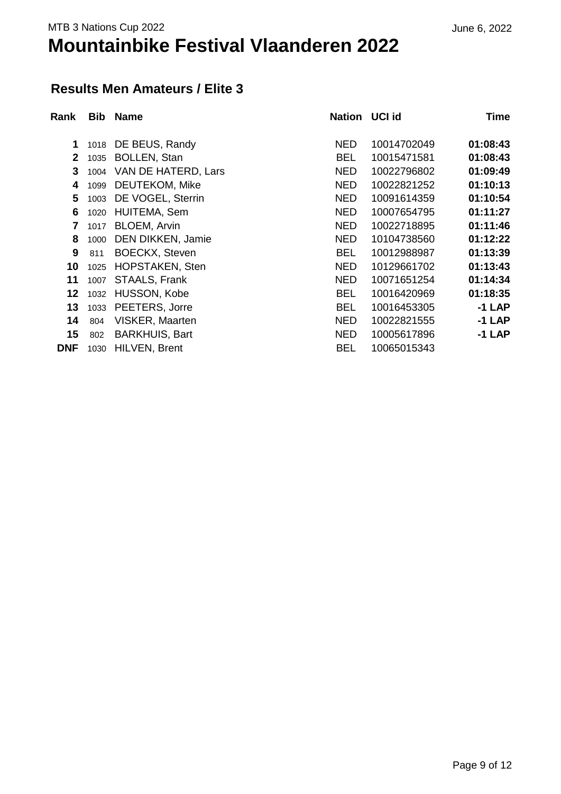### June 6, 2022

#### **Results Men Amateurs / Elite 3**

| Rank         | <b>Bib</b> | <b>Name</b>            | <b>Nation</b> | <b>UCI id</b> | <b>Time</b> |
|--------------|------------|------------------------|---------------|---------------|-------------|
| 1            | 1018       | DE BEUS, Randy         | <b>NED</b>    | 10014702049   | 01:08:43    |
| $\mathbf{2}$ | 1035       | <b>BOLLEN, Stan</b>    | <b>BEL</b>    | 10015471581   | 01:08:43    |
| 3            | 1004       | VAN DE HATERD, Lars    | <b>NED</b>    | 10022796802   | 01:09:49    |
| 4            | 1099       | DEUTEKOM, Mike         | <b>NED</b>    | 10022821252   | 01:10:13    |
| 5            | 1003       | DE VOGEL, Sterrin      | <b>NED</b>    | 10091614359   | 01:10:54    |
| 6            | 1020       | HUITEMA, Sem           | <b>NED</b>    | 10007654795   | 01:11:27    |
| 7            | 1017       | <b>BLOEM, Arvin</b>    | <b>NED</b>    | 10022718895   | 01:11:46    |
| 8            | 1000       | DEN DIKKEN, Jamie      | <b>NED</b>    | 10104738560   | 01:12:22    |
| 9            | 811        | <b>BOECKX, Steven</b>  | <b>BEL</b>    | 10012988987   | 01:13:39    |
| 10           | 1025       | <b>HOPSTAKEN, Sten</b> | <b>NED</b>    | 10129661702   | 01:13:43    |
| 11           | 1007       | STAALS, Frank          | <b>NED</b>    | 10071651254   | 01:14:34    |
| 12           | 1032       | HUSSON, Kobe           | <b>BEL</b>    | 10016420969   | 01:18:35    |
| 13           | 1033       | PEETERS, Jorre         | <b>BEL</b>    | 10016453305   | $-1$ LAP    |
| 14           | 804        | VISKER, Maarten        | <b>NED</b>    | 10022821555   | $-1$ LAP    |
| 15           | 802        | <b>BARKHUIS, Bart</b>  | <b>NED</b>    | 10005617896   | $-1$ LAP    |
| <b>DNF</b>   | 1030       | HILVEN, Brent          | <b>BEL</b>    | 10065015343   |             |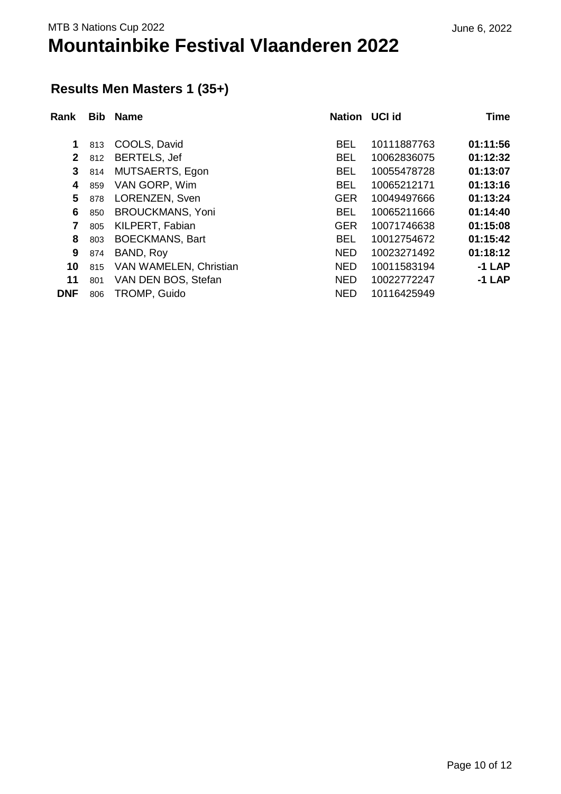### **Results Men Masters 1 (35+)**

| Rank         | <b>Bib</b> | <b>Name</b>             | Nation UCI id |             | <b>Time</b> |
|--------------|------------|-------------------------|---------------|-------------|-------------|
| 1            | 813        | COOLS, David            | <b>BEL</b>    | 10111887763 | 01:11:56    |
| $\mathbf{2}$ | 812        | <b>BERTELS, Jef</b>     | <b>BEL</b>    | 10062836075 | 01:12:32    |
| 3            | 814        | MUTSAERTS, Egon         | <b>BEL</b>    | 10055478728 | 01:13:07    |
| 4            | 859        | VAN GORP, Wim           | <b>BEL</b>    | 10065212171 | 01:13:16    |
| 5            | 878        | LORENZEN, Sven          | <b>GER</b>    | 10049497666 | 01:13:24    |
| 6            | 850        | <b>BROUCKMANS, Yoni</b> | <b>BEL</b>    | 10065211666 | 01:14:40    |
| 7            | 805        | KILPERT, Fabian         | <b>GER</b>    | 10071746638 | 01:15:08    |
| 8            | 803        | <b>BOECKMANS, Bart</b>  | <b>BEL</b>    | 10012754672 | 01:15:42    |
| 9            | 874        | BAND, Roy               | <b>NED</b>    | 10023271492 | 01:18:12    |
| 10           | 815        | VAN WAMELEN, Christian  | <b>NED</b>    | 10011583194 | $-1$ LAP    |
| 11           | 801        | VAN DEN BOS, Stefan     | <b>NED</b>    | 10022772247 | $-1$ LAP    |
| <b>DNF</b>   | 806        | TROMP, Guido            | <b>NED</b>    | 10116425949 |             |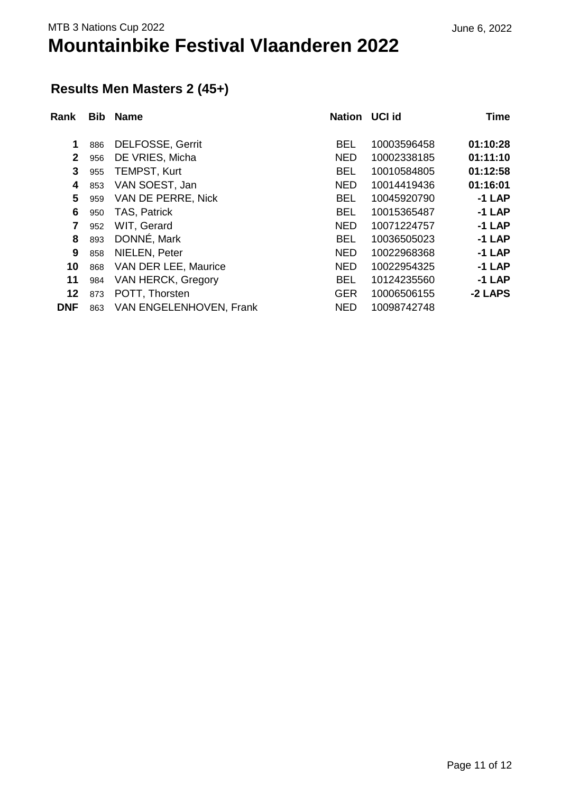### June 6, 2022

### **Results Men Masters 2 (45+)**

| Rank         | <b>Bib</b> | <b>Name</b>               | <b>Nation</b> | <b>UCI id</b> | <b>Time</b> |
|--------------|------------|---------------------------|---------------|---------------|-------------|
| 1            | 886        | <b>DELFOSSE, Gerrit</b>   | <b>BEL</b>    | 10003596458   | 01:10:28    |
| $\mathbf{2}$ | 956        | DE VRIES, Micha           | <b>NED</b>    | 10002338185   | 01:11:10    |
| 3            | 955        | <b>TEMPST, Kurt</b>       | <b>BEL</b>    | 10010584805   | 01:12:58    |
| 4            | 853        | VAN SOEST, Jan            | <b>NED</b>    | 10014419436   | 01:16:01    |
| 5            | 959        | VAN DE PERRE, Nick        | <b>BEL</b>    | 10045920790   | $-1$ LAP    |
| 6            | 950        | TAS, Patrick              | <b>BEL</b>    | 10015365487   | $-1$ LAP    |
| 7            | 952        | WIT, Gerard               | <b>NED</b>    | 10071224757   | $-1$ LAP    |
| 8            | 893        | DONNÉ, Mark               | <b>BEL</b>    | 10036505023   | $-1$ LAP    |
| 9            | 858        | NIELEN, Peter             | <b>NED</b>    | 10022968368   | $-1$ LAP    |
| 10           | 868        | VAN DER LEE, Maurice      | <b>NED</b>    | 10022954325   | $-1$ LAP    |
| 11           | 984        | <b>VAN HERCK, Gregory</b> | <b>BEL</b>    | 10124235560   | $-1$ LAP    |
| 12           | 873        | POTT, Thorsten            | <b>GER</b>    | 10006506155   | -2 LAPS     |
| <b>DNF</b>   | 863        | VAN ENGELENHOVEN, Frank   | <b>NED</b>    | 10098742748   |             |